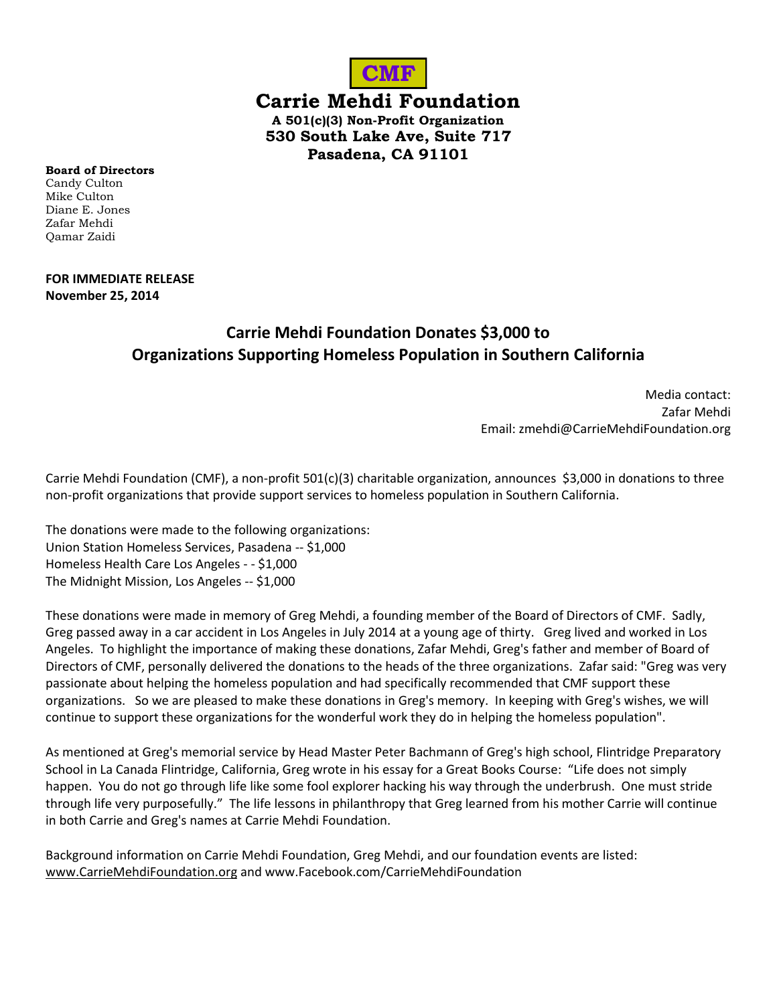

**Carrie Mehdi Foundation**

**A 501(c)(3) Non-Profit Organization 530 South Lake Ave, Suite 717 Pasadena, CA 91101**

**Board of Directors** Candy Culton Mike Culton Diane E. Jones Zafar Mehdi Qamar Zaidi

## **FOR IMMEDIATE RELEASE November 25, 2014**

## **Carrie Mehdi Foundation Donates \$3,000 to Organizations Supporting Homeless Population in Southern California**

Media contact: Zafar Mehdi Email: zmehdi@CarrieMehdiFoundation.org

Carrie Mehdi Foundation (CMF), a non-profit 501(c)(3) charitable organization, announces \$3,000 in donations to three non-profit organizations that provide support services to homeless population in Southern California.

The donations were made to the following organizations: Union Station Homeless Services, Pasadena -- \$1,000 Homeless Health Care Los Angeles - - \$1,000 The Midnight Mission, Los Angeles -- \$1,000

These donations were made in memory of Greg Mehdi, a founding member of the Board of Directors of CMF. Sadly, Greg passed away in a car accident in Los Angeles in July 2014 at a young age of thirty. Greg lived and worked in Los Angeles. To highlight the importance of making these donations, Zafar Mehdi, Greg's father and member of Board of Directors of CMF, personally delivered the donations to the heads of the three organizations. Zafar said: "Greg was very passionate about helping the homeless population and had specifically recommended that CMF support these organizations. So we are pleased to make these donations in Greg's memory. In keeping with Greg's wishes, we will continue to support these organizations for the wonderful work they do in helping the homeless population".

As mentioned at Greg's memorial service by Head Master Peter Bachmann of Greg's high school, Flintridge Preparatory School in La Canada Flintridge, California, Greg wrote in his essay for a Great Books Course: "Life does not simply happen. You do not go through life like some fool explorer hacking his way through the underbrush. One must stride through life very purposefully." The life lessons in philanthropy that Greg learned from his mother Carrie will continue in both Carrie and Greg's names at Carrie Mehdi Foundation.

Background information on Carrie Mehdi Foundation, Greg Mehdi, and our foundation events are listed: [www.CarrieMehdiFoundation.org](http://www.carriemehdifoundation.org/) and www.Facebook.com/CarrieMehdiFoundation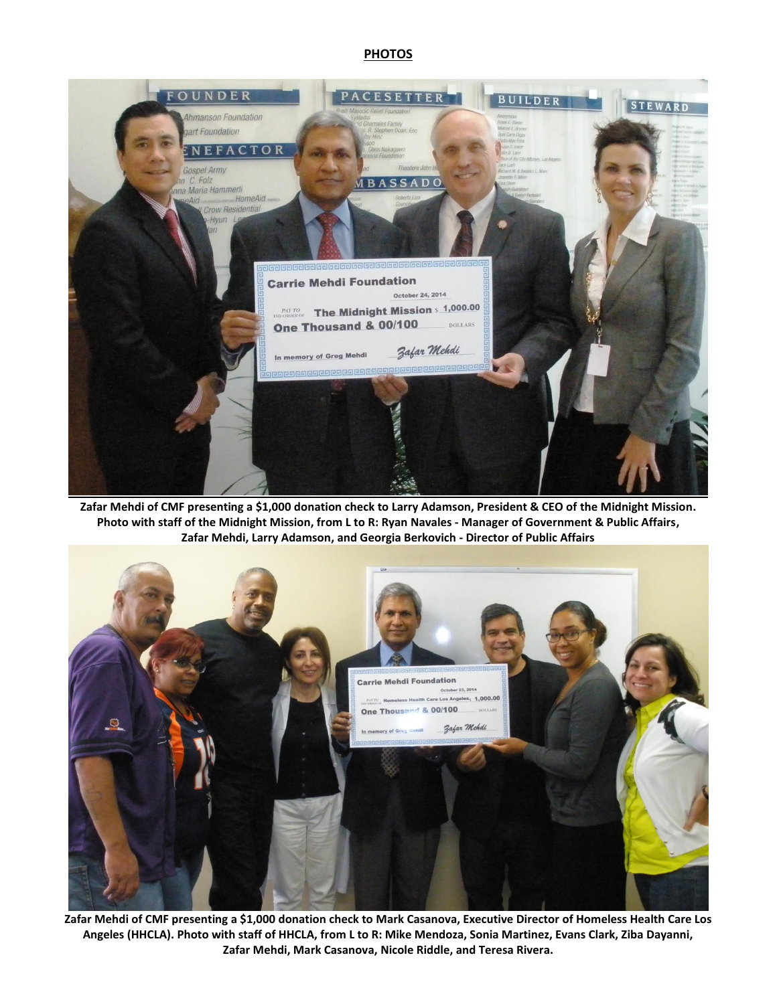## **PHOTOS**



**Zafar Mehdi of CMF presenting a \$1,000 donation check to Larry Adamson, President & CEO of the Midnight Mission. Photo with staff of the Midnight Mission, from L to R: Ryan Navales - Manager of Government & Public Affairs, Zafar Mehdi, Larry Adamson, and Georgia Berkovich - Director of Public Affairs**



**Zafar Mehdi of CMF presenting a \$1,000 donation check to Mark Casanova, Executive Director of Homeless Health Care Los Angeles (HHCLA). Photo with staff of HHCLA, from L to R: Mike Mendoza, Sonia Martinez, Evans Clark, Ziba Dayanni, Zafar Mehdi, Mark Casanova, Nicole Riddle, and Teresa Rivera.**